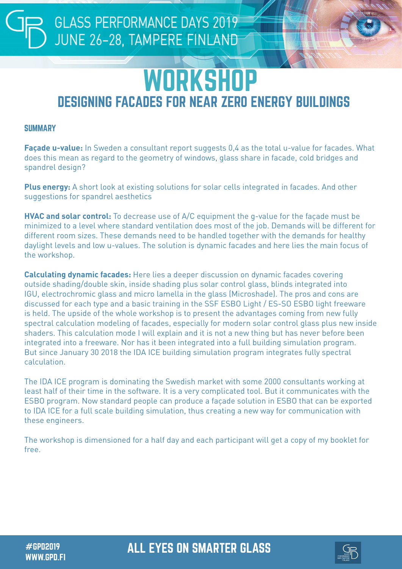### **GLASS PERFORMANCE DAYS 2019** JUNE 26-28, TAMPERE FINLAND

## **WORKSHOP** DESIGNING FACADES FOR NEAR ZERO ENERGY BUILDINGS

### **SUMMARY**

**Façade u-value:** In Sweden a consultant report suggests 0,4 as the total u-value for facades. What does this mean as regard to the geometry of windows, glass share in facade, cold bridges and spandrel design?

**Plus energy:** A short look at existing solutions for solar cells integrated in facades. And other suggestions for spandrel aesthetics

**HVAC and solar control:** To decrease use of A/C equipment the g-value for the façade must be minimized to a level where standard ventilation does most of the job. Demands will be different for different room sizes. These demands need to be handled together with the demands for healthy daylight levels and low u-values. The solution is dynamic facades and here lies the main focus of the workshop.

**Calculating dynamic facades:** Here lies a deeper discussion on dynamic facades covering outside shading/double skin, inside shading plus solar control glass, blinds integrated into IGU, electrochromic glass and micro lamella in the glass (Microshade). The pros and cons are discussed for each type and a basic training in the SSF ESBO Light / ES-SO ESBO light freeware is held. The upside of the whole workshop is to present the advantages coming from new fully spectral calculation modeling of facades, especially for modern solar control glass plus new inside shaders. This calculation mode I will explain and it is not a new thing but has never before been integrated into a freeware. Nor has it been integrated into a full building simulation program. But since January 30 2018 the IDA ICE building simulation program integrates fully spectral calculation.

The IDA ICE program is dominating the Swedish market with some 2000 consultants working at least half of their time in the software. It is a very complicated tool. But it communicates with the ESBO program. Now standard people can produce a façade solution in ESBO that can be exported to IDA ICE for a full scale building simulation, thus creating a new way for communication with these engineers.

The workshop is dimensioned for a half day and each participant will get a copy of my booklet for free.